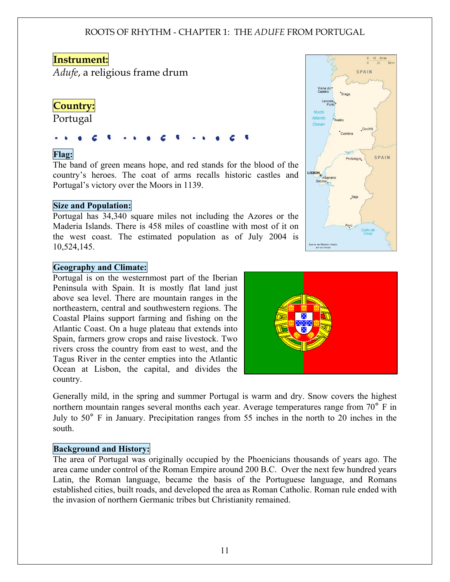# **Instrument:**

*Adufe*, a religious frame drum

# **Country:**

Portugal

## Flag:

The band of green means hope, and red stands for the blood of the country's heroes. The coat of arms recalls historic castles and Portugal's victory over the Moors in 1139.

#### Size and Population:

Portugal has 34,340 square miles not including the Azores or the Maderia Islands. There is 458 miles of coastline with most of it on the west coast. The estimated population as of July 2004 is 10,524,145.

#### Geography and Climate:

Portugal is on the westernmost part of the Iberian Peninsula with Spain. It is mostly flat land just above sea level. There are mountain ranges in the northeastern, central and southwestern regions. The Coastal Plains support farming and fishing on the Atlantic Coast. On a huge plateau that extends into Spain, farmers grow crops and raise livestock. Two rivers cross the country from east to west, and the Tagus River in the center empties into the Atlantic Ocean at Lisbon, the capital, and divides the country.

Generally mild, in the spring and summer Portugal is warm and dry. Snow covers the highest northern mountain ranges several months each year. Average temperatures range from 70<sup>°</sup> F in July to 50° F in January. Precipitation ranges from 55 inches in the north to 20 inches in the south.

#### Background and History:

The area of Portugal was originally occupied by the Phoenicians thousands of years ago. The area came under control of the Roman Empire around 200 B.C. Over the next few hundred years Latin, the Roman language, became the basis of the Portuguese language, and Romans established cities, built roads, and developed the area as Roman Catholic. Roman rule ended with the invasion of northern Germanic tribes but Christianity remained.



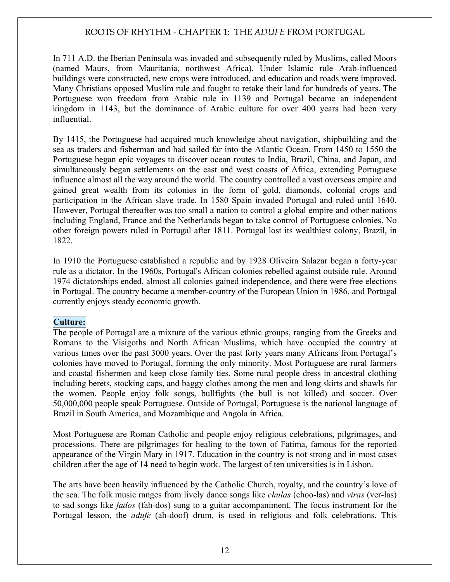In 711 A.D. the Iberian Peninsula was invaded and subsequently ruled by Muslims, called Moors (named Maurs, from Mauritania, northwest Africa). Under Islamic rule Arab-influenced buildings were constructed, new crops were introduced, and education and roads were improved. Many Christians opposed Muslim rule and fought to retake their land for hundreds of years. The Portuguese won freedom from Arabic rule in 1139 and Portugal became an independent kingdom in 1143, but the dominance of Arabic culture for over 400 years had been very influential.

By 1415, the Portuguese had acquired much knowledge about navigation, shipbuilding and the sea as traders and fisherman and had sailed far into the Atlantic Ocean. From 1450 to 1550 the Portuguese began epic voyages to discover ocean routes to India, Brazil, China, and Japan, and simultaneously began settlements on the east and west coasts of Africa, extending Portuguese influence almost all the way around the world. The country controlled a vast overseas empire and gained great wealth from its colonies in the form of gold, diamonds, colonial crops and participation in the African slave trade. In 1580 Spain invaded Portugal and ruled until 1640. However, Portugal thereafter was too small a nation to control a global empire and other nations including England, France and the Netherlands began to take control of Portuguese colonies. No other foreign powers ruled in Portugal after 1811. Portugal lost its wealthiest colony, Brazil, in 1822.

In 1910 the Portuguese established a republic and by 1928 Oliveira Salazar began a forty-year rule as a dictator. In the 1960s, Portugal's African colonies rebelled against outside rule. Around 1974 dictatorships ended, almost all colonies gained independence, and there were free elections in Portugal. The country became a member-country of the European Union in 1986, and Portugal currently enjoys steady economic growth.

#### Culture:

The people of Portugal are a mixture of the various ethnic groups, ranging from the Greeks and Romans to the Visigoths and North African Muslims, which have occupied the country at various times over the past 3000 years. Over the past forty years many Africans from Portugal's colonies have moved to Portugal, forming the only minority. Most Portuguese are rural farmers and coastal fishermen and keep close family ties. Some rural people dress in ancestral clothing including berets, stocking caps, and baggy clothes among the men and long skirts and shawls for the women. People enjoy folk songs, bullfights (the bull is not killed) and soccer. Over 50,000,000 people speak Portuguese. Outside of Portugal, Portuguese is the national language of Brazil in South America, and Mozambique and Angola in Africa.

Most Portuguese are Roman Catholic and people enjoy religious celebrations, pilgrimages, and processions. There are pilgrimages for healing to the town of Fatima, famous for the reported appearance of the Virgin Mary in 1917. Education in the country is not strong and in most cases children after the age of 14 need to begin work. The largest of ten universities is in Lisbon.

The arts have been heavily influenced by the Catholic Church, royalty, and the country's love of the sea. The folk music ranges from lively dance songs like *chulas* (choo-las) and *viras* (ver-las) to sad songs like *fados* (fah-dos) sung to a guitar accompaniment. The focus instrument for the Portugal lesson, the *adufe* (ah-doof) drum*,* is used in religious and folk celebrations. This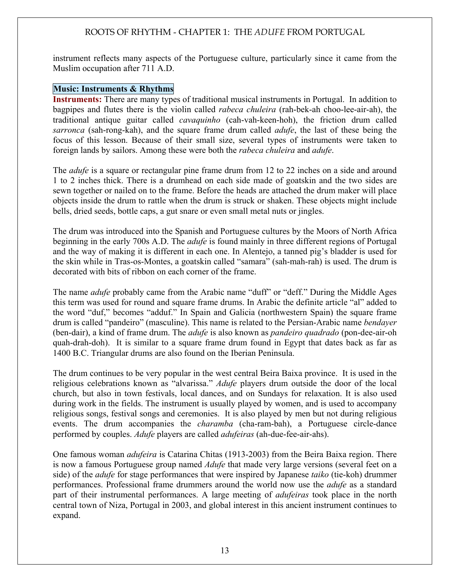instrument reflects many aspects of the Portuguese culture, particularly since it came from the Muslim occupation after 711 A.D.

#### Music: Instruments & Rhythms

Instruments: There are many types of traditional musical instruments in Portugal. In addition to bagpipes and flutes there is the violin called *rabeca chuleira* (rah-bek-ah choo-lee-air-ah), the traditional antique guitar called *cavaquinho* (cah-vah-keen-hoh), the friction drum called *sarronca* (sah-rong-kah), and the square frame drum called *adufe*, the last of these being the focus of this lesson. Because of their small size, several types of instruments were taken to foreign lands by sailors. Among these were both the *rabeca chuleira* and *adufe*.

The *adufe* is a square or rectangular pine frame drum from 12 to 22 inches on a side and around 1 to 2 inches thick. There is a drumhead on each side made of goatskin and the two sides are sewn together or nailed on to the frame. Before the heads are attached the drum maker will place objects inside the drum to rattle when the drum is struck or shaken. These objects might include bells, dried seeds, bottle caps, a gut snare or even small metal nuts or jingles.

The drum was introduced into the Spanish and Portuguese cultures by the Moors of North Africa beginning in the early 700s A.D. The *adufe* is found mainly in three different regions of Portugal and the way of making it is different in each one. In Alentejo, a tanned pig's bladder is used for the skin while in Tras-os-Montes, a goatskin called "samara" (sah-mah-rah) is used. The drum is decorated with bits of ribbon on each corner of the frame.

The name *adufe* probably came from the Arabic name "duff" or "deff." During the Middle Ages this term was used for round and square frame drums. In Arabic the definite article "al" added to the word "duf," becomes "adduf." In Spain and Galicia (northwestern Spain) the square frame drum is called "pandeiro" (masculine). This name is related to the Persian-Arabic name *bendayer*  (ben-dair), a kind of frame drum. The *adufe* is also known as *pandeiro quadrado* (pon-dee-air-oh quah-drah-doh). It is similar to a square frame drum found in Egypt that dates back as far as 1400 B.C. Triangular drums are also found on the Iberian Peninsula.

The drum continues to be very popular in the west central Beira Baixa province. It is used in the religious celebrations known as "alvarissa." *Adufe* players drum outside the door of the local church, but also in town festivals, local dances, and on Sundays for relaxation. It is also used during work in the fields. The instrument is usually played by women, and is used to accompany religious songs, festival songs and ceremonies. It is also played by men but not during religious events. The drum accompanies the *charamba* (cha-ram-bah), a Portuguese circle-dance performed by couples. *Adufe* players are called *adufeiras* (ah-due-fee-air-ahs).

One famous woman *adufeira* is Catarina Chitas (1913-2003) from the Beira Baixa region. There is now a famous Portuguese group named *Adufe* that made very large versions (several feet on a side) of the *adufe* for stage performances that were inspired by Japanese *taiko* (tie-koh) drummer performances. Professional frame drummers around the world now use the *adufe* as a standard part of their instrumental performances. A large meeting of *adufeiras* took place in the north central town of Niza, Portugal in 2003, and global interest in this ancient instrument continues to expand.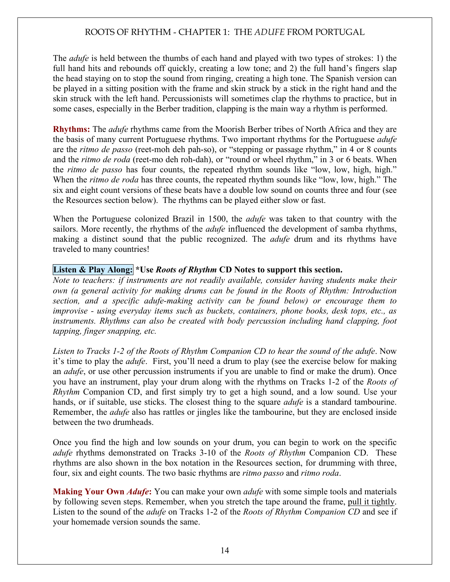The *adufe* is held between the thumbs of each hand and played with two types of strokes: 1) the full hand hits and rebounds off quickly, creating a low tone; and 2) the full hand's fingers slap the head staying on to stop the sound from ringing, creating a high tone. The Spanish version can be played in a sitting position with the frame and skin struck by a stick in the right hand and the skin struck with the left hand. Percussionists will sometimes clap the rhythms to practice, but in some cases, especially in the Berber tradition, clapping is the main way a rhythm is performed.

Rhythms: The *adufe* rhythms came from the Moorish Berber tribes of North Africa and they are the basis of many current Portuguese rhythms. Two important rhythms for the Portuguese *adufe* are the *ritmo de passo* (reet-moh deh pah-so), or "stepping or passage rhythm," in 4 or 8 counts and the *ritmo de roda* (reet-mo deh roh-dah), or "round or wheel rhythm," in 3 or 6 beats. When the *ritmo de passo* has four counts, the repeated rhythm sounds like "low, low, high, high." When the *ritmo de roda* has three counts, the repeated rhythm sounds like "low, low, high." The six and eight count versions of these beats have a double low sound on counts three and four (see the Resources section below). The rhythms can be played either slow or fast.

When the Portuguese colonized Brazil in 1500, the *adufe* was taken to that country with the sailors. More recently, the rhythms of the *adufe* influenced the development of samba rhythms, making a distinct sound that the public recognized. The *adufe* drum and its rhythms have traveled to many countries!

#### Listen & Play Along: \*Use *Roots of Rhythm* CD Notes to support this section.

*Note to teachers: if instruments are not readily available, consider having students make their own (a general activity for making drums can be found in the Roots of Rhythm: Introduction section, and a specific adufe-making activity can be found below) or encourage them to improvise - using everyday items such as buckets, containers, phone books, desk tops, etc., as instruments. Rhythms can also be created with body percussion including hand clapping, foot tapping, finger snapping, etc.* 

*Listen to Tracks 1-2 of the Roots of Rhythm Companion CD to hear the sound of the adufe*. Now it's time to play the *adufe*. First, you'll need a drum to play (see the exercise below for making an *adufe*, or use other percussion instruments if you are unable to find or make the drum). Once you have an instrument, play your drum along with the rhythms on Tracks 1-2 of the *Roots of Rhythm* Companion CD, and first simply try to get a high sound, and a low sound. Use your hands, or if suitable, use sticks. The closest thing to the square *adufe* is a standard tambourine. Remember, the *adufe* also has rattles or jingles like the tambourine, but they are enclosed inside between the two drumheads.

Once you find the high and low sounds on your drum, you can begin to work on the specific *adufe* rhythms demonstrated on Tracks 3-10 of the *Roots of Rhythm* Companion CD. These rhythms are also shown in the box notation in the Resources section, for drumming with three, four, six and eight counts. The two basic rhythms are *ritmo passo* and *ritmo roda*.

Making Your Own *Adufe*: You can make your own *adufe* with some simple tools and materials by following seven steps. Remember, when you stretch the tape around the frame, pull it tightly. Listen to the sound of the *adufe* on Tracks 1-2 of the *Roots of Rhythm Companion CD* and see if your homemade version sounds the same.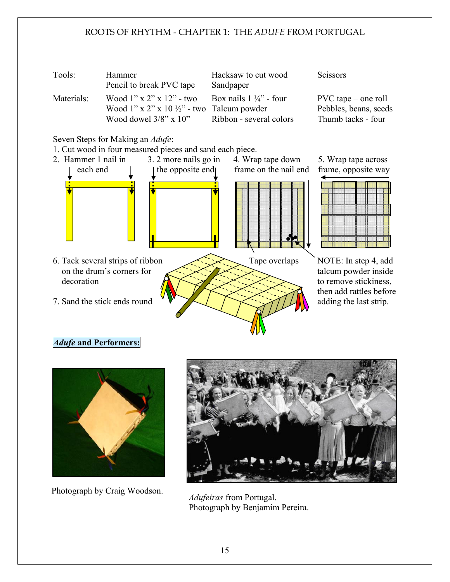

6. Tack several strips of ribbon Tape overlaps NOTE: In step 4, add on the drum's corners for  $\left\langle \sqrt{\frac{1}{2}} \right\rangle$ decoration  $\bigotimes_{\mathbb{R}} \bigotimes_{\mathbb{R}} \bigotimes_{\mathbb{R}} \bigotimes_{\mathbb{R}} \bigotimes_{\mathbb{R}}$  to remove stickiness, 7. Sand the stick ends round  $\mathbf{v}$   $\mathbf{v}$   $\mathbf{v}$   $\mathbf{v}$   $\mathbf{v}$  adding the last strip.



then add rattles before

### *Adufe* and Performers:



Photograph by Craig Woodson.



*Adufeiras* from Portugal. Photograph by Benjamim Pereira.